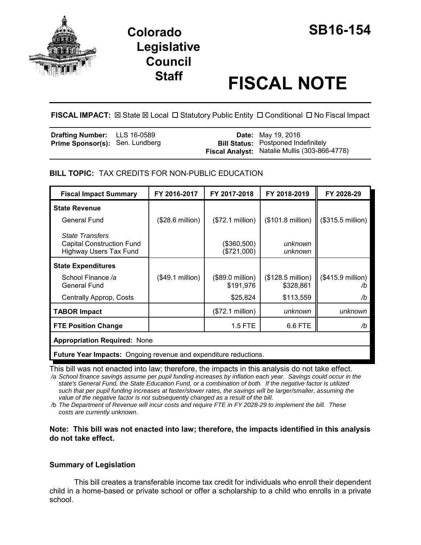

# **Staff FISCAL NOTE**

**FISCAL IMPACT:**  $\boxtimes$  **State**  $\boxtimes$  **Local □ Statutory Public Entity □ Conditional □ No Fiscal Impact** 

| <b>Drafting Number:</b> LLS 16-0589    |  | <b>Date:</b> May 19, 2016                     |
|----------------------------------------|--|-----------------------------------------------|
| <b>Prime Sponsor(s): Sen. Lundberg</b> |  | <b>Bill Status:</b> Postponed Indefinitely    |
|                                        |  | Fiscal Analyst: Natalie Mullis (303-866-4778) |

## **BILL TOPIC:** TAX CREDITS FOR NON-PUBLIC EDUCATION

| <b>Fiscal Impact Summary</b>                                                                | FY 2016-2017              | FY 2017-2018                  | FY 2018-2019                            | FY 2028-29                       |  |
|---------------------------------------------------------------------------------------------|---------------------------|-------------------------------|-----------------------------------------|----------------------------------|--|
| <b>State Revenue</b>                                                                        |                           |                               |                                         |                                  |  |
| General Fund                                                                                | $($28.6 \text{ million})$ | (\$72.1 million)              | $($101.8 \text{ million})$              | (\$315.5 million)                |  |
| <b>State Transfers</b><br><b>Capital Construction Fund</b><br><b>Highway Users Tax Fund</b> |                           | (\$360,500)<br>(\$721,000)    | unknown<br>unknown                      |                                  |  |
| <b>State Expenditures</b>                                                                   |                           |                               |                                         |                                  |  |
| School Finance /a<br>General Fund                                                           | (\$49.1 million)          | (\$89.0 million)<br>\$191,976 | $($128.5 \text{ million})$<br>\$328,861 | $($415.9 \text{ million})$<br>/b |  |
| Centrally Approp, Costs                                                                     |                           | \$25,824                      | \$113,559                               | /b                               |  |
| <b>TABOR Impact</b>                                                                         |                           | (\$72.1 million)              | unknown                                 | unknown                          |  |
| <b>FTE Position Change</b>                                                                  |                           | 1.5 FTE                       | 6.6 FTE                                 | /b                               |  |
| <b>Appropriation Required: None</b>                                                         |                           |                               |                                         |                                  |  |
| <b>Future Year Impacts:</b> Ongoing revenue and expenditure reductions.                     |                           |                               |                                         |                                  |  |

This bill was not enacted into law; therefore, the impacts in this analysis do not take effect.

 */a School finance savings assume per pupil funding increases by inflation each year. Savings could occur in the state's General Fund, the State Education Fund, or a combination of both. If the negative factor is utilized such that per pupil funding increases at faster/slower rates, the savings will be larger/smaller, assuming the value of the negative factor is not subsequently changed as a result of the bill.* 

 /b *The Department of Revenue will incur costs and require FTE in FY 2028-29 to implement the bill. These costs are currently unknown*.

## **Note: This bill was not enacted into law; therefore, the impacts identified in this analysis do not take effect.**

## **Summary of Legislation**

This bill creates a transferable income tax credit for individuals who enroll their dependent child in a home-based or private school or offer a scholarship to a child who enrolls in a private school.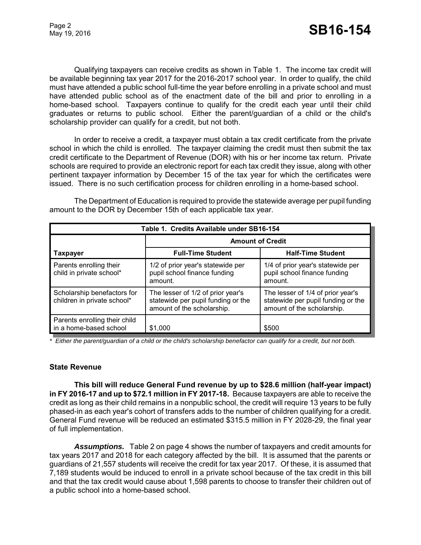Qualifying taxpayers can receive credits as shown in Table 1. The income tax credit will be available beginning tax year 2017 for the 2016-2017 school year. In order to qualify, the child must have attended a public school full-time the year before enrolling in a private school and must have attended public school as of the enactment date of the bill and prior to enrolling in a home-based school. Taxpayers continue to qualify for the credit each year until their child graduates or returns to public school. Either the parent/guardian of a child or the child's scholarship provider can qualify for a credit, but not both.

In order to receive a credit, a taxpayer must obtain a tax credit certificate from the private school in which the child is enrolled. The taxpayer claiming the credit must then submit the tax credit certificate to the Department of Revenue (DOR) with his or her income tax return. Private schools are required to provide an electronic report for each tax credit they issue, along with other pertinent taxpayer information by December 15 of the tax year for which the certificates were issued. There is no such certification process for children enrolling in a home-based school.

The Department of Education is required to provide the statewide average per pupil funding amount to the DOR by December 15th of each applicable tax year.

| Table 1. Credits Available under SB16-154                  |                                                                                                       |                                                                                                       |  |  |
|------------------------------------------------------------|-------------------------------------------------------------------------------------------------------|-------------------------------------------------------------------------------------------------------|--|--|
|                                                            | <b>Amount of Credit</b>                                                                               |                                                                                                       |  |  |
| Taxpayer                                                   | <b>Full-Time Student</b>                                                                              | <b>Half-Time Student</b>                                                                              |  |  |
| Parents enrolling their<br>child in private school*        | 1/2 of prior year's statewide per<br>pupil school finance funding<br>amount.                          | 1/4 of prior year's statewide per<br>pupil school finance funding<br>amount.                          |  |  |
| Scholarship benefactors for<br>children in private school* | The lesser of 1/2 of prior year's<br>statewide per pupil funding or the<br>amount of the scholarship. | The lesser of 1/4 of prior year's<br>statewide per pupil funding or the<br>amount of the scholarship. |  |  |
| Parents enrolling their child<br>in a home-based school    | \$1,000                                                                                               | \$500                                                                                                 |  |  |

*\* Either the parent/guardian of a child or the child's scholarship benefactor can qualify for a credit, but not both.*

## **State Revenue**

**This bill will reduce General Fund revenue by up to \$28.6 million (half-year impact) in FY 2016-17 and up to \$72.1 million in FY 2017-18.** Because taxpayers are able to receive the credit as long as their child remains in a nonpublic school, the credit will require 13 years to be fully phased-in as each year's cohort of transfers adds to the number of children qualifying for a credit. General Fund revenue will be reduced an estimated \$315.5 million in FY 2028-29, the final year of full implementation.

*Assumptions.* Table 2 on page 4 shows the number of taxpayers and credit amounts for tax years 2017 and 2018 for each category affected by the bill. It is assumed that the parents or guardians of 21,557 students will receive the credit for tax year 2017. Of these, it is assumed that 7,189 students would be induced to enroll in a private school because of the tax credit in this bill and that the tax credit would cause about 1,598 parents to choose to transfer their children out of a public school into a home-based school.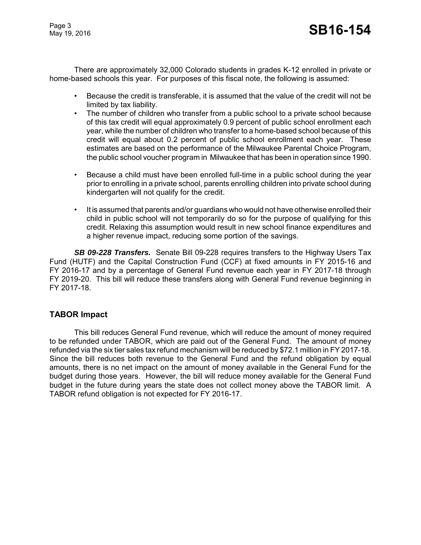Page 3

There are approximately 32,000 Colorado students in grades K-12 enrolled in private or home-based schools this year. For purposes of this fiscal note, the following is assumed:

- Because the credit is transferable, it is assumed that the value of the credit will not be limited by tax liability.
- The number of children who transfer from a public school to a private school because of this tax credit will equal approximately 0.9 percent of public school enrollment each year, while the number of children who transfer to a home-based school because of this credit will equal about 0.2 percent of public school enrollment each year. These estimates are based on the performance of the Milwaukee Parental Choice Program, the public school voucher program in Milwaukee that has been in operation since 1990.
- Because a child must have been enrolled full-time in a public school during the year prior to enrolling in a private school, parents enrolling children into private school during kindergarten will not qualify for the credit.
- It is assumed that parents and/or guardians who would not have otherwise enrolled their child in public school will not temporarily do so for the purpose of qualifying for this credit. Relaxing this assumption would result in new school finance expenditures and a higher revenue impact, reducing some portion of the savings.

 *SB 09-228 Transfers.* Senate Bill 09-228 requires transfers to the Highway Users Tax Fund (HUTF) and the Capital Construction Fund (CCF) at fixed amounts in FY 2015-16 and FY 2016-17 and by a percentage of General Fund revenue each year in FY 2017-18 through FY 2019-20. This bill will reduce these transfers along with General Fund revenue beginning in FY 2017-18.

# **TABOR Impact**

This bill reduces General Fund revenue, which will reduce the amount of money required to be refunded under TABOR, which are paid out of the General Fund. The amount of money refunded via the six tier sales tax refund mechanism will be reduced by \$72.1 million in FY 2017-18. Since the bill reduces both revenue to the General Fund and the refund obligation by equal amounts, there is no net impact on the amount of money available in the General Fund for the budget during those years. However, the bill will reduce money available for the General Fund budget in the future during years the state does not collect money above the TABOR limit. A TABOR refund obligation is not expected for FY 2016-17.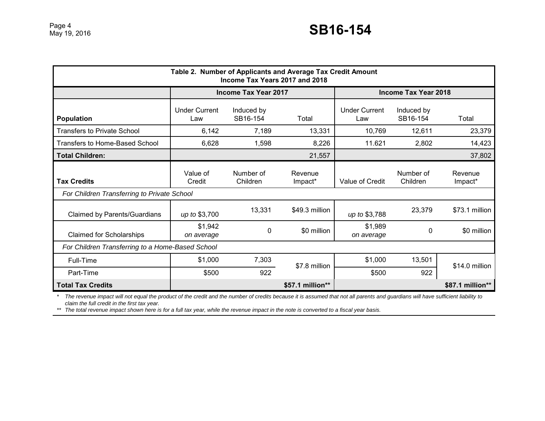| Table 2. Number of Applicants and Average Tax Credit Amount<br>Income Tax Years 2017 and 2018 |                             |                        |                    |                             |                        |                    |
|-----------------------------------------------------------------------------------------------|-----------------------------|------------------------|--------------------|-----------------------------|------------------------|--------------------|
|                                                                                               | <b>Income Tax Year 2017</b> |                        |                    | <b>Income Tax Year 2018</b> |                        |                    |
| <b>Population</b>                                                                             | <b>Under Current</b><br>Law | Induced by<br>SB16-154 | Total              | <b>Under Current</b><br>Law | Induced by<br>SB16-154 | Total              |
| <b>Transfers to Private School</b>                                                            | 6,142                       | 7,189                  | 13,331             | 10,769                      | 12,611                 | 23,379             |
| <b>Transfers to Home-Based School</b>                                                         | 6,628                       | 1,598                  | 8,226              | 11.621                      | 2,802                  | 14,423             |
| <b>Total Children:</b>                                                                        |                             |                        | 21,557             |                             |                        | 37,802             |
| <b>Tax Credits</b><br>For Children Transferring to Private School                             | Value of<br>Credit          | Number of<br>Children  | Revenue<br>Impact* | Value of Credit             | Number of<br>Children  | Revenue<br>Impact* |
| <b>Claimed by Parents/Guardians</b>                                                           | up to \$3,700               | 13,331                 | \$49.3 million     | up to \$3,788               | 23,379                 | \$73.1 million     |
| <b>Claimed for Scholarships</b>                                                               | \$1,942<br>on average       | 0                      | \$0 million        | \$1,989<br>on average       | 0                      | \$0 million        |
| For Children Transferring to a Home-Based School                                              |                             |                        |                    |                             |                        |                    |
| Full-Time                                                                                     | \$1,000                     | 7,303                  |                    | \$1,000                     | 13,501                 |                    |
| Part-Time                                                                                     | \$500                       | 922                    | \$7.8 million      | \$500                       | 922                    | \$14.0 million     |
| <b>Total Tax Credits</b>                                                                      |                             |                        | \$57.1 million**   |                             |                        | \$87.1 million**   |

*\* The revenue impact will not equal the product of the credit and the number of credits because it is assumed that not all parents and guardians will have sufficient liability to claim the full credit in the first tax year.*

*\*\* The total revenue impact shown here is for a full tax year, while the revenue impact in the note is converted to a fiscal year basis.*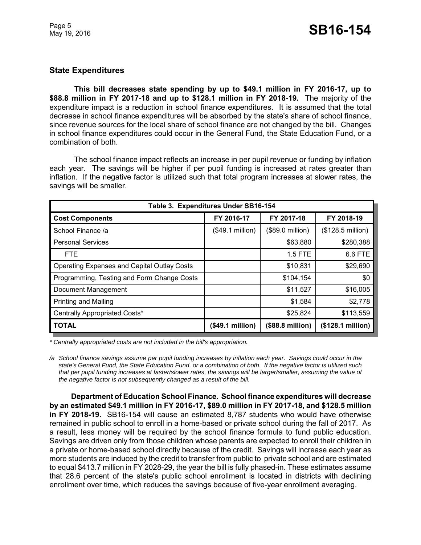# **State Expenditures**

**This bill decreases state spending by up to \$49.1 million in FY 2016-17, up to \$88.8 million in FY 2017-18 and up to \$128.1 million in FY 2018-19.** The majority of the expenditure impact is a reduction in school finance expenditures. It is assumed that the total decrease in school finance expenditures will be absorbed by the state's share of school finance, since revenue sources for the local share of school finance are not changed by the bill. Changes in school finance expenditures could occur in the General Fund, the State Education Fund, or a combination of both.

The school finance impact reflects an increase in per pupil revenue or funding by inflation each year. The savings will be higher if per pupil funding is increased at rates greater than inflation. If the negative factor is utilized such that total program increases at slower rates, the savings will be smaller.

| Table 3. Expenditures Under SB16-154               |                  |                  |                   |  |  |  |  |
|----------------------------------------------------|------------------|------------------|-------------------|--|--|--|--|
| <b>Cost Components</b>                             | FY 2016-17       | FY 2017-18       | FY 2018-19        |  |  |  |  |
| School Finance /a                                  | (\$49.1 million) | (\$89.0 million) | (\$128.5 million) |  |  |  |  |
| <b>Personal Services</b>                           |                  | \$63,880         | \$280,388         |  |  |  |  |
| FTE.                                               |                  | $1.5$ FTE        | 6.6 FTE           |  |  |  |  |
| <b>Operating Expenses and Capital Outlay Costs</b> |                  | \$10,831         | \$29,690          |  |  |  |  |
| Programming, Testing and Form Change Costs         |                  | \$104,154        | \$0               |  |  |  |  |
| Document Management                                |                  | \$11,527         | \$16,005          |  |  |  |  |
| Printing and Mailing                               |                  | \$1,584          | \$2,778           |  |  |  |  |
| Centrally Appropriated Costs*                      |                  | \$25,824         | \$113,559         |  |  |  |  |
| <b>TOTAL</b>                                       | (\$49.1 million) | (\$88.8 million) | (\$128.1 million) |  |  |  |  |

*\* Centrally appropriated costs are not included in the bill's appropriation.*

*/a School finance savings assume per pupil funding increases by inflation each year. Savings could occur in the state's General Fund, the State Education Fund, or a combination of both. If the negative factor is utilized such that per pupil funding increases at faster/slower rates, the savings will be larger/smaller, assuming the value of the negative factor is not subsequently changed as a result of the bill.* 

**Department of Education School Finance. School finance expenditures will decrease by an estimated \$49.1 million in FY 2016-17, \$89.0 million in FY 2017-18, and \$128.5 million in FY 2018-19.** SB16-154 will cause an estimated 8,787 students who would have otherwise remained in public school to enroll in a home-based or private school during the fall of 2017. As a result, less money will be required by the school finance formula to fund public education. Savings are driven only from those children whose parents are expected to enroll their children in a private or home-based school directly because of the credit. Savings will increase each year as more students are induced by the credit to transfer from public to private school and are estimated to equal \$413.7 million in FY 2028-29, the year the bill is fully phased-in. These estimates assume that 28.6 percent of the state's public school enrollment is located in districts with declining enrollment over time, which reduces the savings because of five-year enrollment averaging.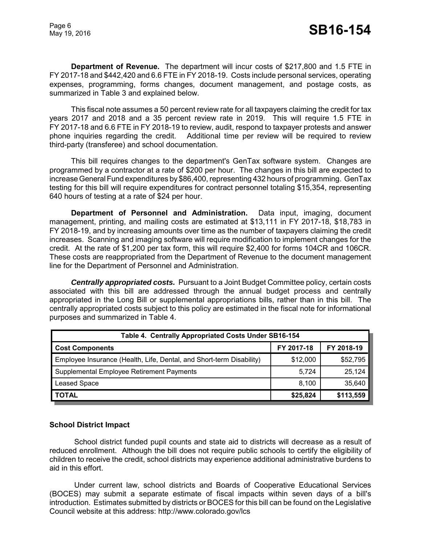**Department of Revenue.** The department will incur costs of \$217,800 and 1.5 FTE in FY 2017-18 and \$442,420 and 6.6 FTE in FY 2018-19. Costs include personal services, operating expenses, programming, forms changes, document management, and postage costs, as summarized in Table 3 and explained below.

This fiscal note assumes a 50 percent review rate for all taxpayers claiming the credit for tax years 2017 and 2018 and a 35 percent review rate in 2019. This will require 1.5 FTE in FY 2017-18 and 6.6 FTE in FY 2018-19 to review, audit, respond to taxpayer protests and answer phone inquiries regarding the credit. Additional time per review will be required to review third-party (transferee) and school documentation.

This bill requires changes to the department's GenTax software system. Changes are programmed by a contractor at a rate of \$200 per hour. The changes in this bill are expected to increase General Fund expenditures by \$86,400, representing 432 hours of programming. GenTax testing for this bill will require expenditures for contract personnel totaling \$15,354, representing 640 hours of testing at a rate of \$24 per hour.

**Department of Personnel and Administration.** Data input, imaging, document management, printing, and mailing costs are estimated at \$13,111 in FY 2017-18, \$18,783 in FY 2018-19, and by increasing amounts over time as the number of taxpayers claiming the credit increases. Scanning and imaging software will require modification to implement changes for the credit. At the rate of \$1,200 per tax form, this will require \$2,400 for forms 104CR and 106CR. These costs are reappropriated from the Department of Revenue to the document management line for the Department of Personnel and Administration.

*Centrally appropriated costs.* Pursuant to a Joint Budget Committee policy, certain costs associated with this bill are addressed through the annual budget process and centrally appropriated in the Long Bill or supplemental appropriations bills, rather than in this bill. The centrally appropriated costs subject to this policy are estimated in the fiscal note for informational purposes and summarized in Table 4.

| Table 4. Centrally Appropriated Costs Under SB16-154                 |            |            |  |  |  |
|----------------------------------------------------------------------|------------|------------|--|--|--|
| <b>Cost Components</b>                                               | FY 2017-18 | FY 2018-19 |  |  |  |
| Employee Insurance (Health, Life, Dental, and Short-term Disability) | \$12,000   | \$52,795   |  |  |  |
| Supplemental Employee Retirement Payments                            | 5.724      | 25,124     |  |  |  |
| <b>Leased Space</b>                                                  | 8.100      | 35,640     |  |  |  |
| <b>TOTAL</b>                                                         | \$25,824   | \$113,559  |  |  |  |

## **School District Impact**

School district funded pupil counts and state aid to districts will decrease as a result of reduced enrollment. Although the bill does not require public schools to certify the eligibility of children to receive the credit, school districts may experience additional administrative burdens to aid in this effort.

Under current law, school districts and Boards of Cooperative Educational Services (BOCES) may submit a separate estimate of fiscal impacts within seven days of a bill's introduction. Estimates submitted by districts or BOCES for this bill can be found on the Legislative Council website at this address: http://www.colorado.gov/lcs